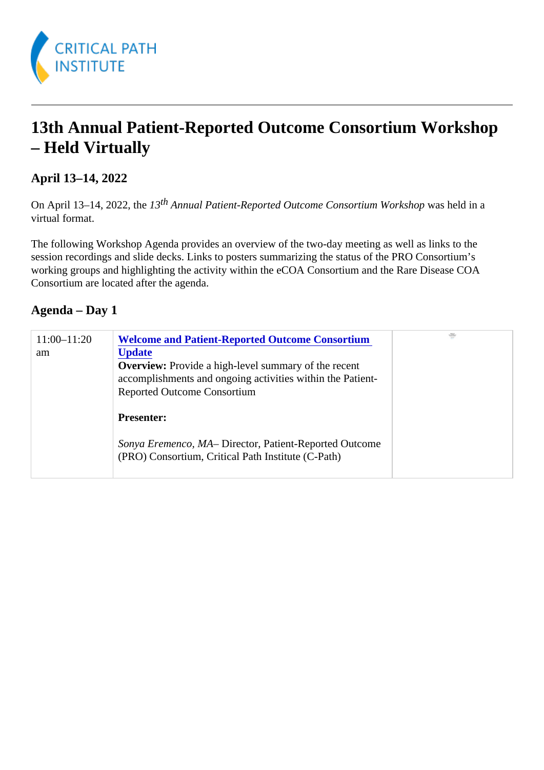## 13th Annual Patient-Reported Outcome Consortium Workshop – Held Virtually

April 13–14, 2022

On April 13-14, 2022, the 3<sup>th</sup> Annual Patient-Reported Outcome Consortium Workshopheld in a virtual format.

The following Workshop Agenda provides an overview of the two-day meeting as well as links to the session recordings and slide decks. Links to posters summarizing the status of the PRO Consortium's working groups and highlighting the activity within the eCOA Consortium and the Rare Disease COA Consortium are located after the agenda.

Agenda – Day 1

| 11:00-11:20<br>am | <b>Welcome and Patient-Reported Outcome Consortium</b><br><b>Update</b><br>Overview: Provide a high-level summary of the recent<br>accomplishments and ongoing activities within the Patient-<br><b>Reported Outcome Consortium</b> |
|-------------------|-------------------------------------------------------------------------------------------------------------------------------------------------------------------------------------------------------------------------------------|
|                   | Presenter:<br>Sonya Eremenco, MADirector, Patient-Reported Outcome<br>(PRO) Consortium, Critical Path Institute (C-Path)                                                                                                            |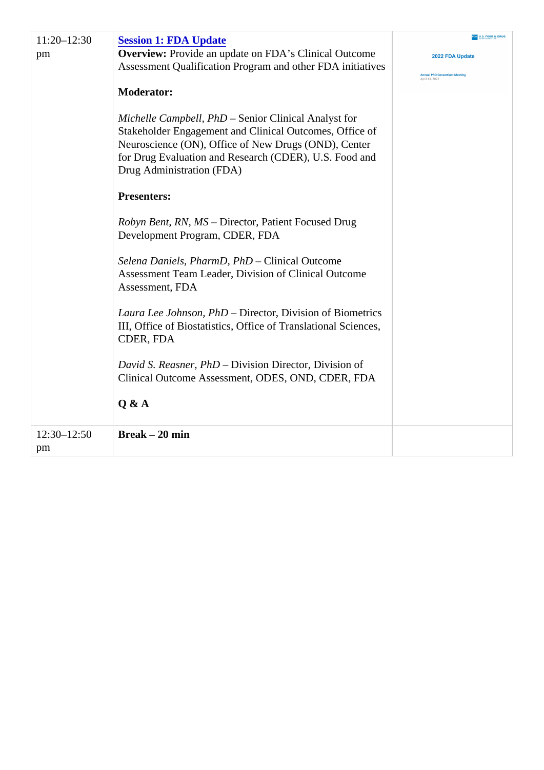| 11:20-12:30<br>pm | Session 1: FDA Update<br>Overview: Provide an update on FDA's Clinical Outcome<br>Assessment Qualification Program and other FDA initiatives<br>Moderator:<br>Michelle Campbell, PhD Senior Clinical Analyst for<br>Stakeholder Engagement and Clinical Outcomes, Office of<br>Neuroscience (ON), Office of New Drugs (OND), Center<br>for Drug Evaluation and Research (CDER), U.S. Food and<br>Drug Administration (FDA)<br>Presenters:<br>Robyn Bent, RN, MSDirector, Patient Focused Drug<br>Development Program, CDER, FDA<br>Selena Daniels, PharmD, PhDGlinical Outcome<br>Assessment Team Leader, Division of Clinical Outcome<br>Assessment, FDA<br>Laura Lee Johnson, PhDDirector, Division of Biometrics<br>III, Office of Biostatistics, Office of Translational Sciences,<br>CDER, FDA<br>David S. Reasner, PhDDivision Director, Division of<br>Clinical Outcome Assessment, ODES, OND, CDER, FDA<br>Q & A |  |
|-------------------|--------------------------------------------------------------------------------------------------------------------------------------------------------------------------------------------------------------------------------------------------------------------------------------------------------------------------------------------------------------------------------------------------------------------------------------------------------------------------------------------------------------------------------------------------------------------------------------------------------------------------------------------------------------------------------------------------------------------------------------------------------------------------------------------------------------------------------------------------------------------------------------------------------------------------|--|
| 12:30-12:50<br>pm | Break $-20$ min                                                                                                                                                                                                                                                                                                                                                                                                                                                                                                                                                                                                                                                                                                                                                                                                                                                                                                          |  |
|                   |                                                                                                                                                                                                                                                                                                                                                                                                                                                                                                                                                                                                                                                                                                                                                                                                                                                                                                                          |  |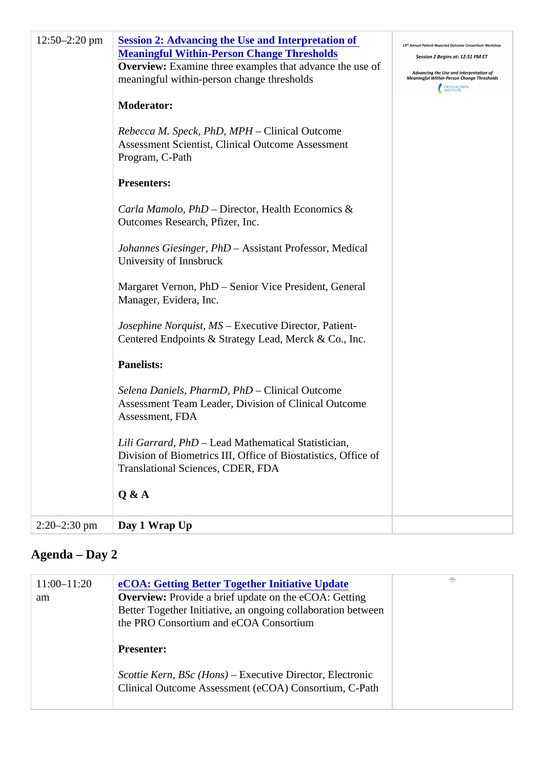| 12:50-2:20pm | Session 2: Advancing the Use and Interpretation of<br><b>Meaningful Within-Person Change Thresholds</b><br>Overview: Examine three examples that advance the use of<br>meaningful within-person change thresholds<br>Moderator:<br>Rebecca M. Speck, PhD, MPHCHinical Outcome<br>Assessment Scientist, Clinical Outcome Assessment<br>Program, C-Path<br>Presenters:<br>Carla Mamolo, PhD -Director, Health Economics &<br>Outcomes Research, Pfizer, Inc.<br>Johannes Giesinger, PhDAssistant Professor, Medical<br>University of Innsbruck<br>Margaret Vernon, PhD - Senior Vice President, General<br>Manager, Evidera, Inc.<br>Josephine Norquist, MSExecutive Director, Patient-<br>Centered Endpoints & Strategy Lead, Merck & Co., Inc.<br>Panelists:<br>Selena Daniels, PharmD, PhDGiinical Outcome<br>Assessment Team Leader, Division of Clinical Outcome<br>Assessment, FDA<br>Lili Garrard, PhD-Lead Mathematical Statistician,<br>Division of Biometrics III, Office of Biostatistics, Office of<br>Translational Sciences, CDER, FDA<br>Q & A |  |
|--------------|-------------------------------------------------------------------------------------------------------------------------------------------------------------------------------------------------------------------------------------------------------------------------------------------------------------------------------------------------------------------------------------------------------------------------------------------------------------------------------------------------------------------------------------------------------------------------------------------------------------------------------------------------------------------------------------------------------------------------------------------------------------------------------------------------------------------------------------------------------------------------------------------------------------------------------------------------------------------------------------------------------------------------------------------------------------|--|
| 2:20-2:30 pm | Day 1 Wrap Up                                                                                                                                                                                                                                                                                                                                                                                                                                                                                                                                                                                                                                                                                                                                                                                                                                                                                                                                                                                                                                               |  |
|              |                                                                                                                                                                                                                                                                                                                                                                                                                                                                                                                                                                                                                                                                                                                                                                                                                                                                                                                                                                                                                                                             |  |

## Agenda – Day 2

| 11:00-11:20<br>am | eCOA: Getting Better Together Initiative Update<br>Overview: Provide a brief update on the eCOA: Getting<br>Better Together Initiative, an ongoing collaboration between<br>the PRO Consortium and eCOA Consortium |  |
|-------------------|--------------------------------------------------------------------------------------------------------------------------------------------------------------------------------------------------------------------|--|
|                   | Presenter:                                                                                                                                                                                                         |  |
|                   | Scottie Kern, BSc (Hons) Executive Director, Electronic<br>Clinical Outcome Assessment (eCOA) Consortium, C-Path                                                                                                   |  |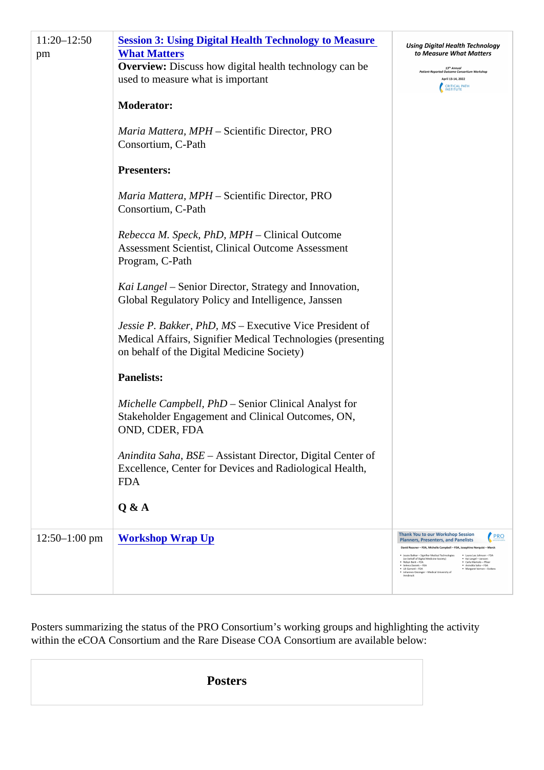| 11:20-12:50<br>pm | Session 3: Using Digital Health Technology to Measure<br><b>What Matters</b><br>Overview: Discuss how digital health technology can be<br>used to measure what is important<br>Moderator:<br>Maria Mattera, MPH- Scientific Director, PRO<br>Consortium, C-Path<br>Presenters:<br>Maria Mattera, MPH- Scientific Director, PRO<br>Consortium, C-Path<br>Rebecca M. Speck, PhD, MPHCHinical Outcome<br>Assessment Scientist, Clinical Outcome Assessment<br>Program, C-Path<br>Kai Langel – Senior Director, Strategy and Innovation,<br>Global Regulatory Policy and Intelligence, Janssen<br>Jessie P. Bakker, PhD, ME xecutive Vice President of<br>Medical Affairs, Signifier Medical Technologies (presenting<br>on behalf of the Digital Medicine Society)<br>Panelists:<br>Michelle Campbell, PhD Senior Clinical Analyst for<br>Stakeholder Engagement and Clinical Outcomes, ON,<br>OND, CDER, FDA<br>Anindita Saha, BSE Assistant Director, Digital Center of<br>Excellence, Center for Devices and Radiological Health,<br><b>FDA</b><br>Q & A |  |
|-------------------|----------------------------------------------------------------------------------------------------------------------------------------------------------------------------------------------------------------------------------------------------------------------------------------------------------------------------------------------------------------------------------------------------------------------------------------------------------------------------------------------------------------------------------------------------------------------------------------------------------------------------------------------------------------------------------------------------------------------------------------------------------------------------------------------------------------------------------------------------------------------------------------------------------------------------------------------------------------------------------------------------------------------------------------------------------|--|
| 12:50-1:00pm      | <b>Workshop Wrap Up</b>                                                                                                                                                                                                                                                                                                                                                                                                                                                                                                                                                                                                                                                                                                                                                                                                                                                                                                                                                                                                                                  |  |

Posters summarizing the status of the PRO Consortium's working groups and highlighting the activity within the eCOA Consortium and the Rare Disease COA Consortium are available below:

| <b>Posters</b> |
|----------------|
|----------------|